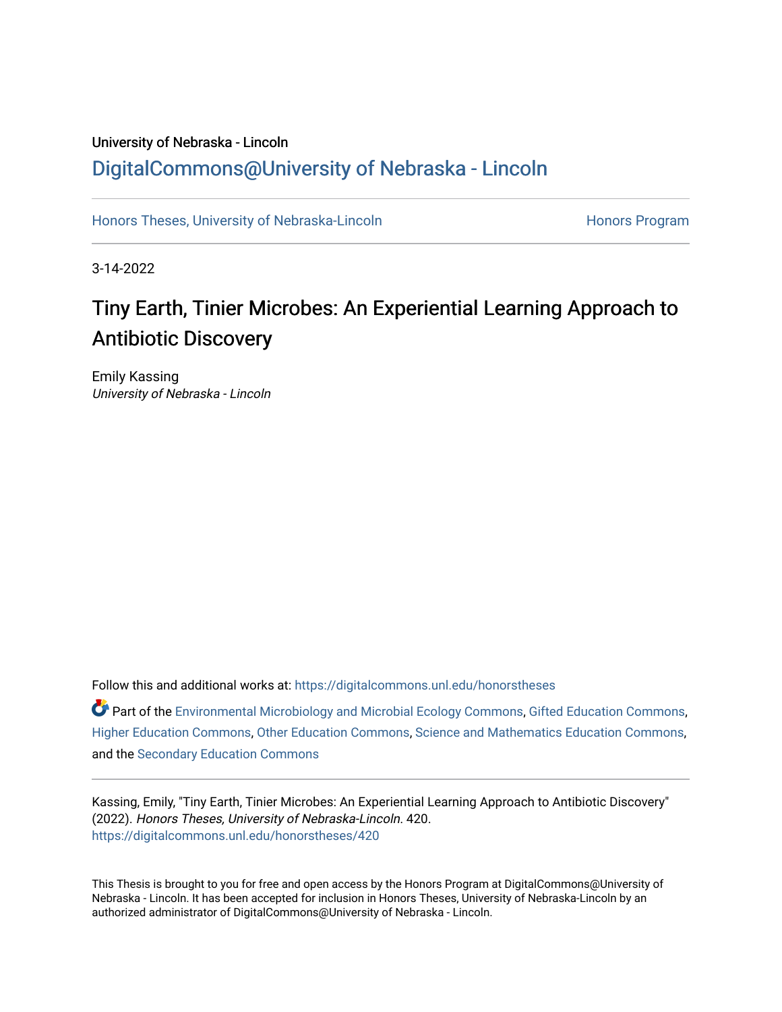## University of Nebraska - Lincoln [DigitalCommons@University of Nebraska - Lincoln](https://digitalcommons.unl.edu/)

[Honors Theses, University of Nebraska-Lincoln](https://digitalcommons.unl.edu/honorstheses) **Honors Program** Honors Program

3-14-2022

# Tiny Earth, Tinier Microbes: An Experiential Learning Approach to Antibiotic Discovery

Emily Kassing University of Nebraska - Lincoln

Follow this and additional works at: [https://digitalcommons.unl.edu/honorstheses](https://digitalcommons.unl.edu/honorstheses?utm_source=digitalcommons.unl.edu%2Fhonorstheses%2F420&utm_medium=PDF&utm_campaign=PDFCoverPages)

Part of the [Environmental Microbiology and Microbial Ecology Commons,](http://network.bepress.com/hgg/discipline/50?utm_source=digitalcommons.unl.edu%2Fhonorstheses%2F420&utm_medium=PDF&utm_campaign=PDFCoverPages) [Gifted Education Commons,](http://network.bepress.com/hgg/discipline/1048?utm_source=digitalcommons.unl.edu%2Fhonorstheses%2F420&utm_medium=PDF&utm_campaign=PDFCoverPages) [Higher Education Commons,](http://network.bepress.com/hgg/discipline/1245?utm_source=digitalcommons.unl.edu%2Fhonorstheses%2F420&utm_medium=PDF&utm_campaign=PDFCoverPages) [Other Education Commons,](http://network.bepress.com/hgg/discipline/811?utm_source=digitalcommons.unl.edu%2Fhonorstheses%2F420&utm_medium=PDF&utm_campaign=PDFCoverPages) [Science and Mathematics Education Commons,](http://network.bepress.com/hgg/discipline/800?utm_source=digitalcommons.unl.edu%2Fhonorstheses%2F420&utm_medium=PDF&utm_campaign=PDFCoverPages) and the [Secondary Education Commons](http://network.bepress.com/hgg/discipline/1382?utm_source=digitalcommons.unl.edu%2Fhonorstheses%2F420&utm_medium=PDF&utm_campaign=PDFCoverPages) 

Kassing, Emily, "Tiny Earth, Tinier Microbes: An Experiential Learning Approach to Antibiotic Discovery" (2022). Honors Theses, University of Nebraska-Lincoln. 420. [https://digitalcommons.unl.edu/honorstheses/420](https://digitalcommons.unl.edu/honorstheses/420?utm_source=digitalcommons.unl.edu%2Fhonorstheses%2F420&utm_medium=PDF&utm_campaign=PDFCoverPages)

This Thesis is brought to you for free and open access by the Honors Program at DigitalCommons@University of Nebraska - Lincoln. It has been accepted for inclusion in Honors Theses, University of Nebraska-Lincoln by an authorized administrator of DigitalCommons@University of Nebraska - Lincoln.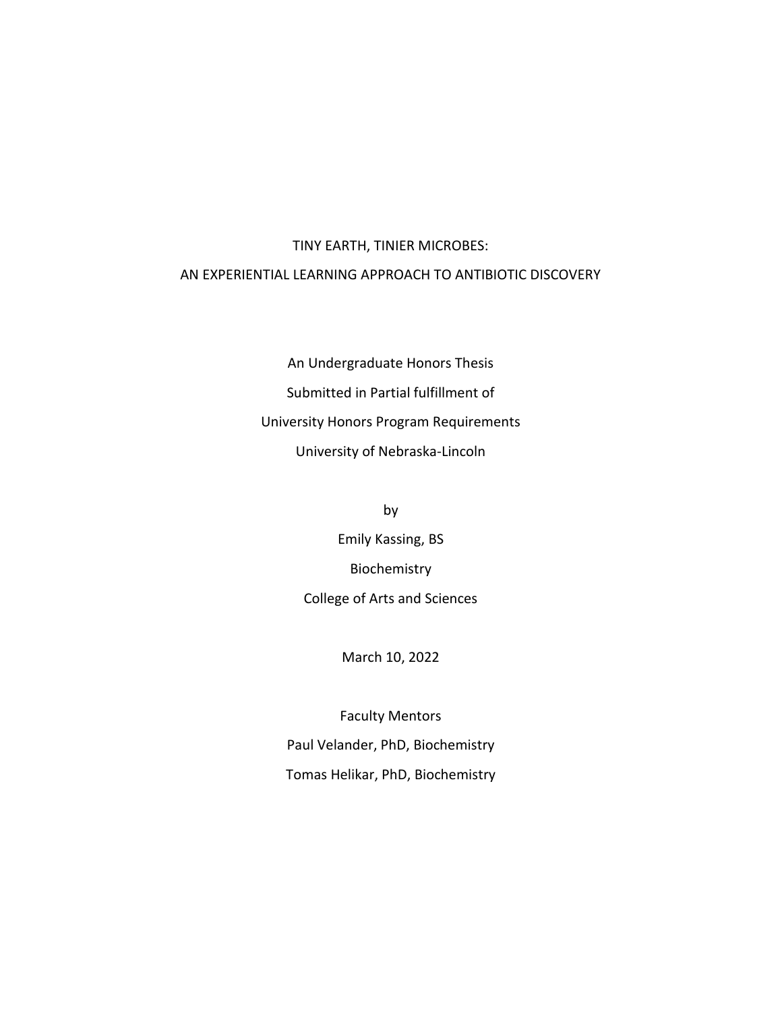## TINY EARTH, TINIER MICROBES: AN EXPERIENTIAL LEARNING APPROACH TO ANTIBIOTIC DISCOVERY

An Undergraduate Honors Thesis Submitted in Partial fulfillment of University Honors Program Requirements University of Nebraska-Lincoln

> by Emily Kassing, BS Biochemistry College of Arts and Sciences

> > March 10, 2022

Faculty Mentors Paul Velander, PhD, Biochemistry Tomas Helikar, PhD, Biochemistry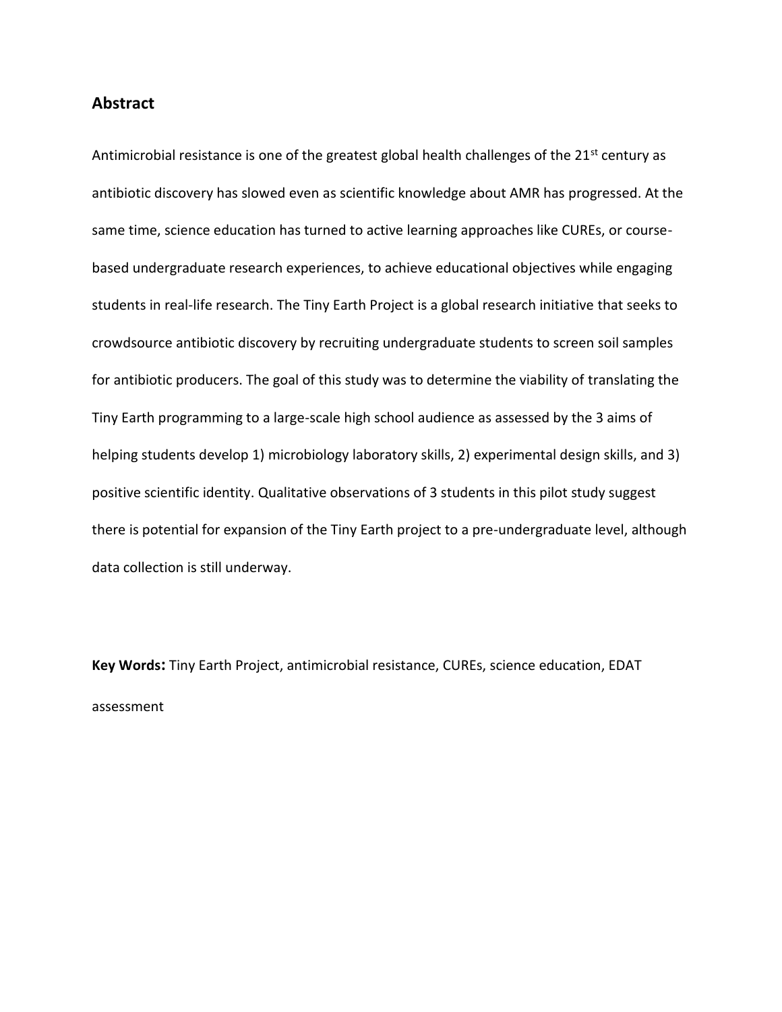#### **Abstract**

Antimicrobial resistance is one of the greatest global health challenges of the  $21<sup>st</sup>$  century as antibiotic discovery has slowed even as scientific knowledge about AMR has progressed. At the same time, science education has turned to active learning approaches like CUREs, or coursebased undergraduate research experiences, to achieve educational objectives while engaging students in real-life research. The Tiny Earth Project is a global research initiative that seeks to crowdsource antibiotic discovery by recruiting undergraduate students to screen soil samples for antibiotic producers. The goal of this study was to determine the viability of translating the Tiny Earth programming to a large-scale high school audience as assessed by the 3 aims of helping students develop 1) microbiology laboratory skills, 2) experimental design skills, and 3) positive scientific identity. Qualitative observations of 3 students in this pilot study suggest there is potential for expansion of the Tiny Earth project to a pre-undergraduate level, although data collection is still underway.

**Key Words:** Tiny Earth Project, antimicrobial resistance, CUREs, science education, EDAT assessment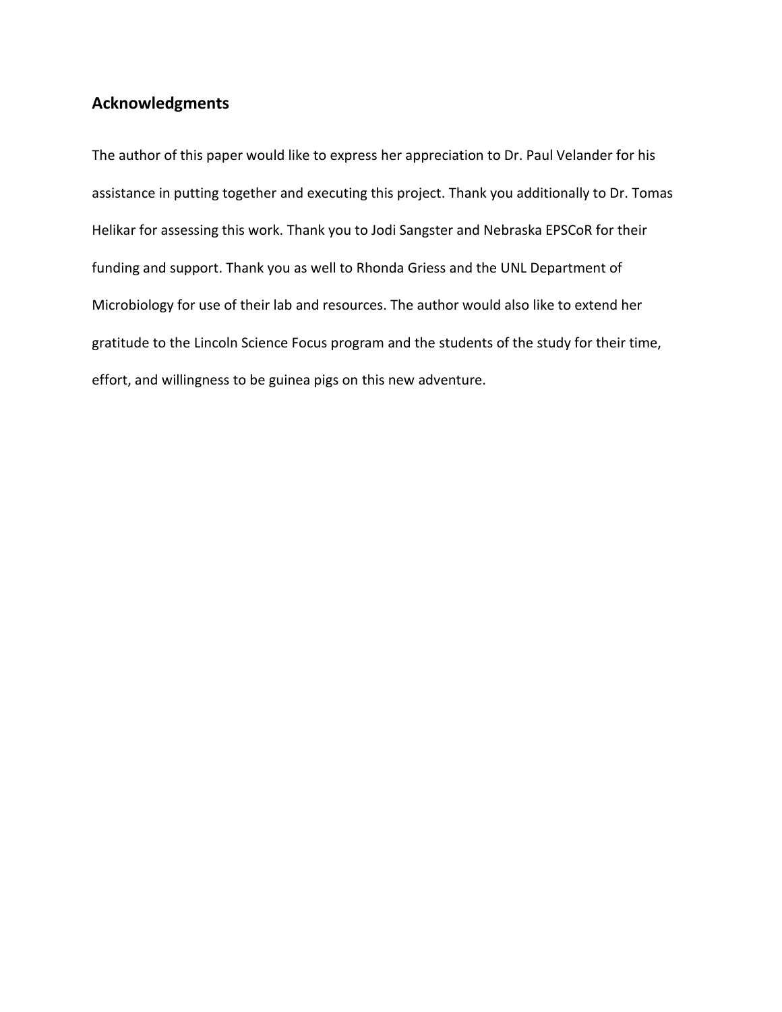## **Acknowledgments**

The author of this paper would like to express her appreciation to Dr. Paul Velander for his assistance in putting together and executing this project. Thank you additionally to Dr. Tomas Helikar for assessing this work. Thank you to Jodi Sangster and Nebraska EPSCoR for their funding and support. Thank you as well to Rhonda Griess and the UNL Department of Microbiology for use of their lab and resources. The author would also like to extend her gratitude to the Lincoln Science Focus program and the students of the study for their time, effort, and willingness to be guinea pigs on this new adventure.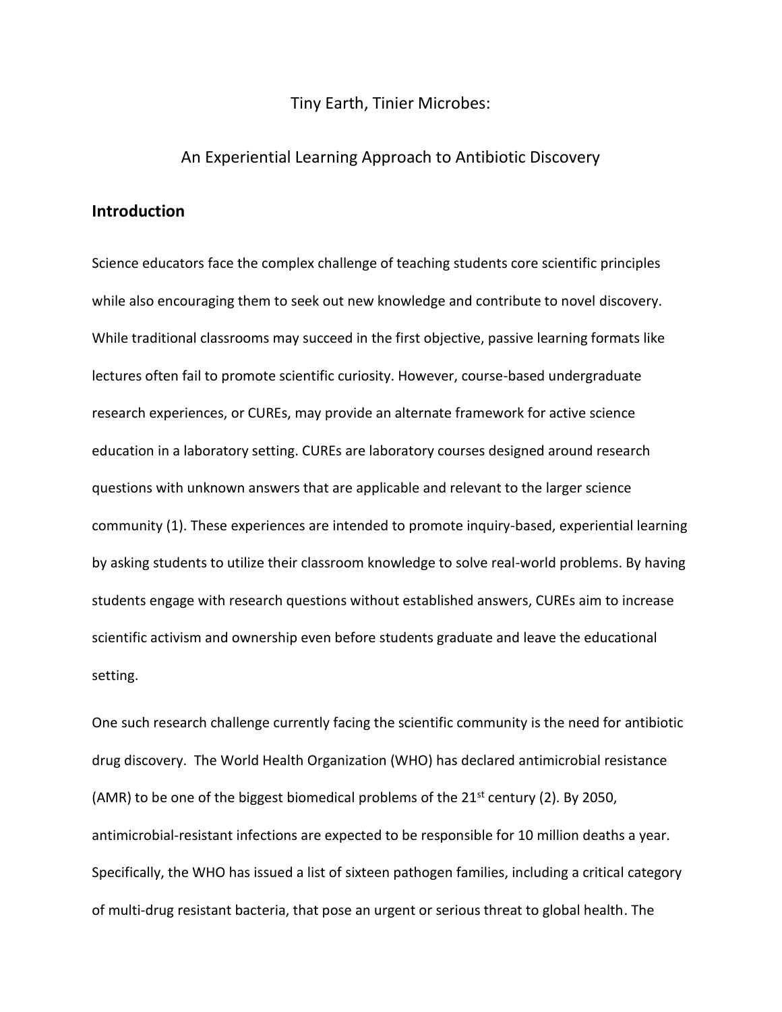#### Tiny Earth, Tinier Microbes:

#### An Experiential Learning Approach to Antibiotic Discovery

### **Introduction**

Science educators face the complex challenge of teaching students core scientific principles while also encouraging them to seek out new knowledge and contribute to novel discovery. While traditional classrooms may succeed in the first objective, passive learning formats like lectures often fail to promote scientific curiosity. However, course-based undergraduate research experiences, or CUREs, may provide an alternate framework for active science education in a laboratory setting. CUREs are laboratory courses designed around research questions with unknown answers that are applicable and relevant to the larger science community (1). These experiences are intended to promote inquiry-based, experiential learning by asking students to utilize their classroom knowledge to solve real-world problems. By having students engage with research questions without established answers, CUREs aim to increase scientific activism and ownership even before students graduate and leave the educational setting.

One such research challenge currently facing the scientific community is the need for antibiotic drug discovery. The World Health Organization (WHO) has declared antimicrobial resistance (AMR) to be one of the biggest biomedical problems of the  $21<sup>st</sup>$  century (2). By 2050, antimicrobial-resistant infections are expected to be responsible for 10 million deaths a year. Specifically, the WHO has issued a list of sixteen pathogen families, including a critical category of multi-drug resistant bacteria, that pose an urgent or serious threat to global health. The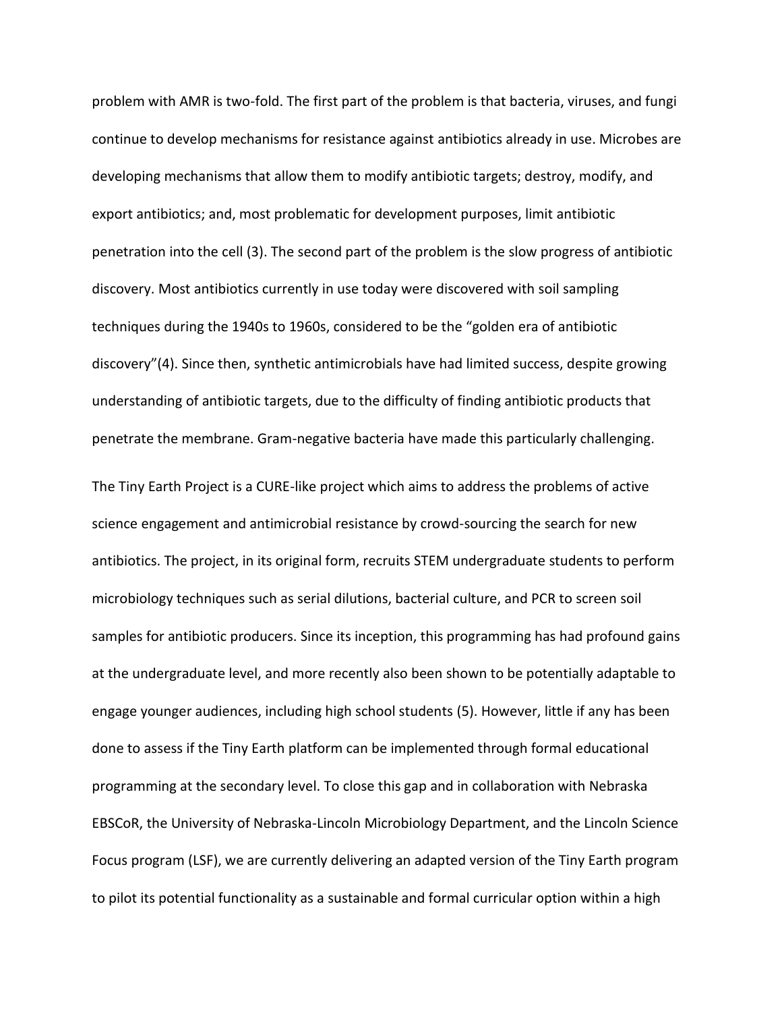problem with AMR is two-fold. The first part of the problem is that bacteria, viruses, and fungi continue to develop mechanisms for resistance against antibiotics already in use. Microbes are developing mechanisms that allow them to modify antibiotic targets; destroy, modify, and export antibiotics; and, most problematic for development purposes, limit antibiotic penetration into the cell (3). The second part of the problem is the slow progress of antibiotic discovery. Most antibiotics currently in use today were discovered with soil sampling techniques during the 1940s to 1960s, considered to be the "golden era of antibiotic discovery"(4). Since then, synthetic antimicrobials have had limited success, despite growing understanding of antibiotic targets, due to the difficulty of finding antibiotic products that penetrate the membrane. Gram-negative bacteria have made this particularly challenging.

The Tiny Earth Project is a CURE-like project which aims to address the problems of active science engagement and antimicrobial resistance by crowd-sourcing the search for new antibiotics. The project, in its original form, recruits STEM undergraduate students to perform microbiology techniques such as serial dilutions, bacterial culture, and PCR to screen soil samples for antibiotic producers. Since its inception, this programming has had profound gains at the undergraduate level, and more recently also been shown to be potentially adaptable to engage younger audiences, including high school students (5). However, little if any has been done to assess if the Tiny Earth platform can be implemented through formal educational programming at the secondary level. To close this gap and in collaboration with Nebraska EBSCoR, the University of Nebraska-Lincoln Microbiology Department, and the Lincoln Science Focus program (LSF), we are currently delivering an adapted version of the Tiny Earth program to pilot its potential functionality as a sustainable and formal curricular option within a high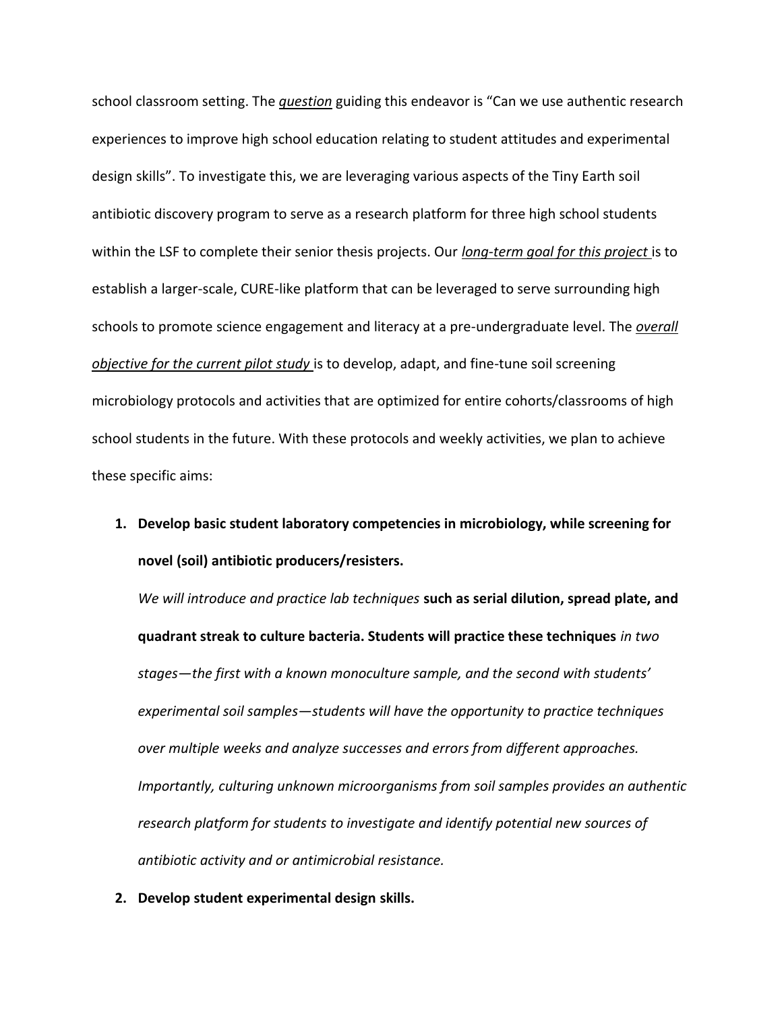school classroom setting. The *question* guiding this endeavor is "Can we use authentic research experiences to improve high school education relating to student attitudes and experimental design skills". To investigate this, we are leveraging various aspects of the Tiny Earth soil antibiotic discovery program to serve as a research platform for three high school students within the LSF to complete their senior thesis projects. Our *long-term goal for this project* is to establish a larger-scale, CURE-like platform that can be leveraged to serve surrounding high schools to promote science engagement and literacy at a pre-undergraduate level. The *overall objective for the current pilot study* is to develop, adapt, and fine-tune soil screening microbiology protocols and activities that are optimized for entire cohorts/classrooms of high school students in the future. With these protocols and weekly activities, we plan to achieve these specific aims:

**1. Develop basic student laboratory competencies in microbiology, while screening for novel (soil) antibiotic producers/resisters.**

*We will introduce and practice lab techniques* **such as serial dilution, spread plate, and quadrant streak to culture bacteria. Students will practice these techniques** *in two stages—the first with a known monoculture sample, and the second with students' experimental soil samples—students will have the opportunity to practice techniques over multiple weeks and analyze successes and errors from different approaches. Importantly, culturing unknown microorganisms from soil samples provides an authentic research platform for students to investigate and identify potential new sources of antibiotic activity and or antimicrobial resistance.* 

**2. Develop student experimental design skills.**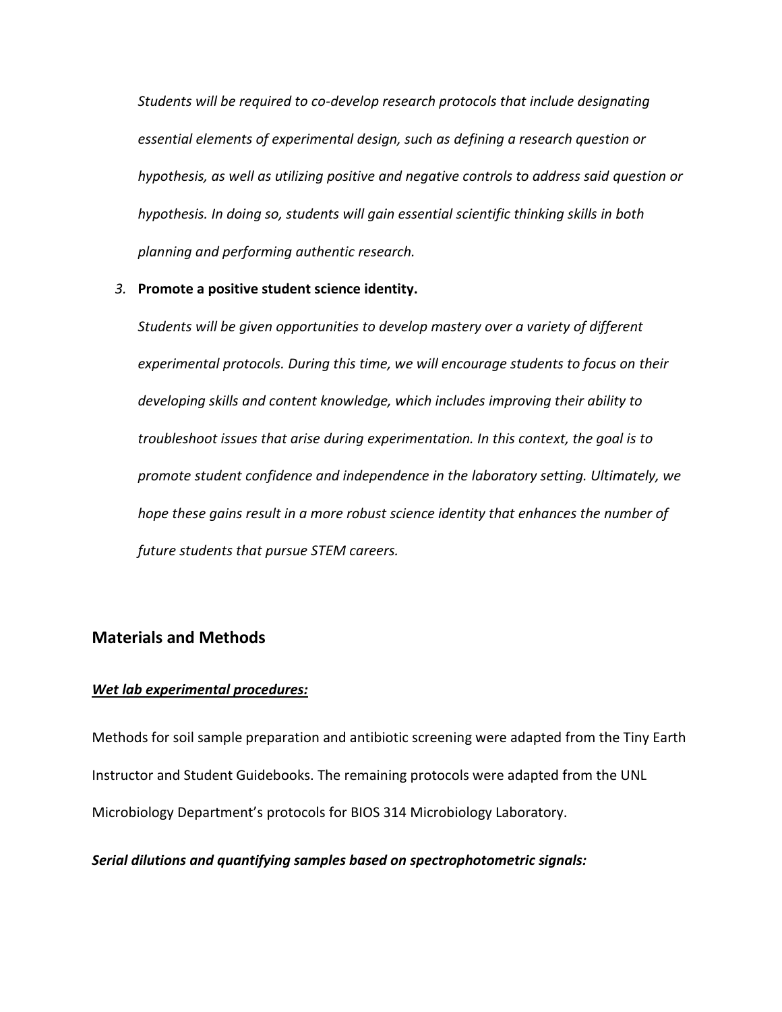*Students will be required to co-develop research protocols that include designating essential elements of experimental design, such as defining a research question or hypothesis, as well as utilizing positive and negative controls to address said question or hypothesis. In doing so, students will gain essential scientific thinking skills in both planning and performing authentic research.*

#### *3.* **Promote a positive student science identity.**

*Students will be given opportunities to develop mastery over a variety of different experimental protocols. During this time, we will encourage students to focus on their developing skills and content knowledge, which includes improving their ability to troubleshoot issues that arise during experimentation. In this context, the goal is to promote student confidence and independence in the laboratory setting. Ultimately, we hope these gains result in a more robust science identity that enhances the number of future students that pursue STEM careers.*

#### **Materials and Methods**

#### *Wet lab experimental procedures:*

Methods for soil sample preparation and antibiotic screening were adapted from the Tiny Earth Instructor and Student Guidebooks. The remaining protocols were adapted from the UNL Microbiology Department's protocols for BIOS 314 Microbiology Laboratory.

*Serial dilutions and quantifying samples based on spectrophotometric signals:*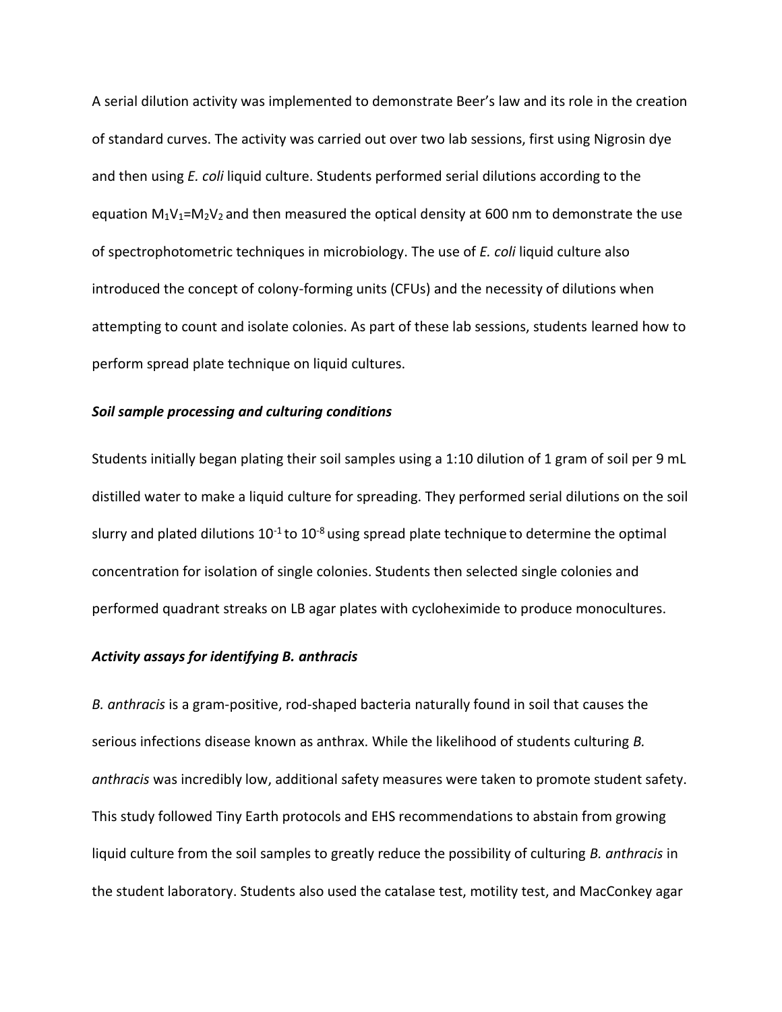A serial dilution activity was implemented to demonstrate Beer's law and its role in the creation of standard curves. The activity was carried out over two lab sessions, first using Nigrosin dye and then using *E. coli* liquid culture. Students performed serial dilutions according to the equation  $M_1V_1=M_2V_2$  and then measured the optical density at 600 nm to demonstrate the use of spectrophotometric techniques in microbiology. The use of *E. coli* liquid culture also introduced the concept of colony-forming units (CFUs) and the necessity of dilutions when attempting to count and isolate colonies. As part of these lab sessions, students learned how to perform spread plate technique on liquid cultures.

#### *Soil sample processing and culturing conditions*

Students initially began plating their soil samples using a 1:10 dilution of 1 gram of soil per 9 mL distilled water to make a liquid culture for spreading. They performed serial dilutions on the soil slurry and plated dilutions  $10^{-1}$  to  $10^{-8}$  using spread plate technique to determine the optimal concentration for isolation of single colonies. Students then selected single colonies and performed quadrant streaks on LB agar plates with cycloheximide to produce monocultures.

#### *Activity assays for identifying B. anthracis*

*B. anthracis* is a gram-positive, rod-shaped bacteria naturally found in soil that causes the serious infections disease known as anthrax. While the likelihood of students culturing *B. anthracis* was incredibly low, additional safety measures were taken to promote student safety. This study followed Tiny Earth protocols and EHS recommendations to abstain from growing liquid culture from the soil samples to greatly reduce the possibility of culturing *B. anthracis* in the student laboratory. Students also used the catalase test, motility test, and MacConkey agar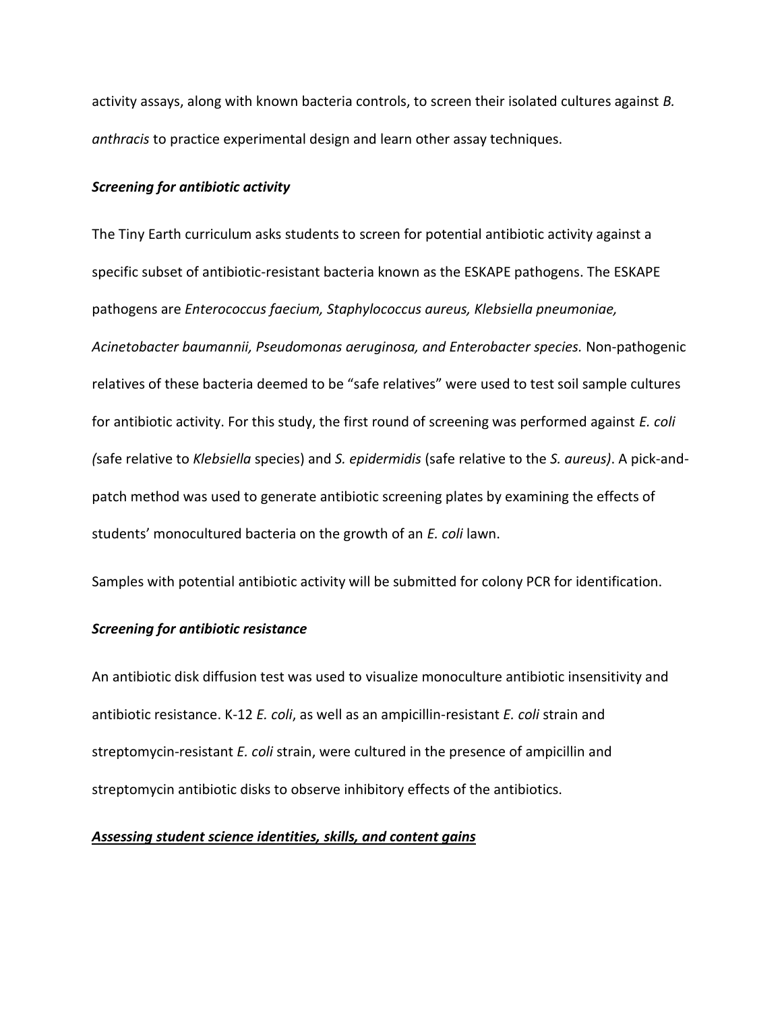activity assays, along with known bacteria controls, to screen their isolated cultures against *B. anthracis* to practice experimental design and learn other assay techniques.

#### *Screening for antibiotic activity*

The Tiny Earth curriculum asks students to screen for potential antibiotic activity against a specific subset of antibiotic-resistant bacteria known as the ESKAPE pathogens. The ESKAPE pathogens are *Enterococcus faecium, Staphylococcus aureus, Klebsiella pneumoniae, Acinetobacter baumannii, Pseudomonas aeruginosa, and Enterobacter species.* Non-pathogenic relatives of these bacteria deemed to be "safe relatives" were used to test soil sample cultures for antibiotic activity. For this study, the first round of screening was performed against *E. coli (*safe relative to *Klebsiella* species) and *S. epidermidis* (safe relative to the *S. aureus)*. A pick-andpatch method was used to generate antibiotic screening plates by examining the effects of students' monocultured bacteria on the growth of an *E. coli* lawn.

Samples with potential antibiotic activity will be submitted for colony PCR for identification.

#### *Screening for antibiotic resistance*

An antibiotic disk diffusion test was used to visualize monoculture antibiotic insensitivity and antibiotic resistance. K-12 *E. coli*, as well as an ampicillin-resistant *E. coli* strain and streptomycin-resistant *E. coli* strain, were cultured in the presence of ampicillin and streptomycin antibiotic disks to observe inhibitory effects of the antibiotics.

#### *Assessing student science identities, skills, and content gains*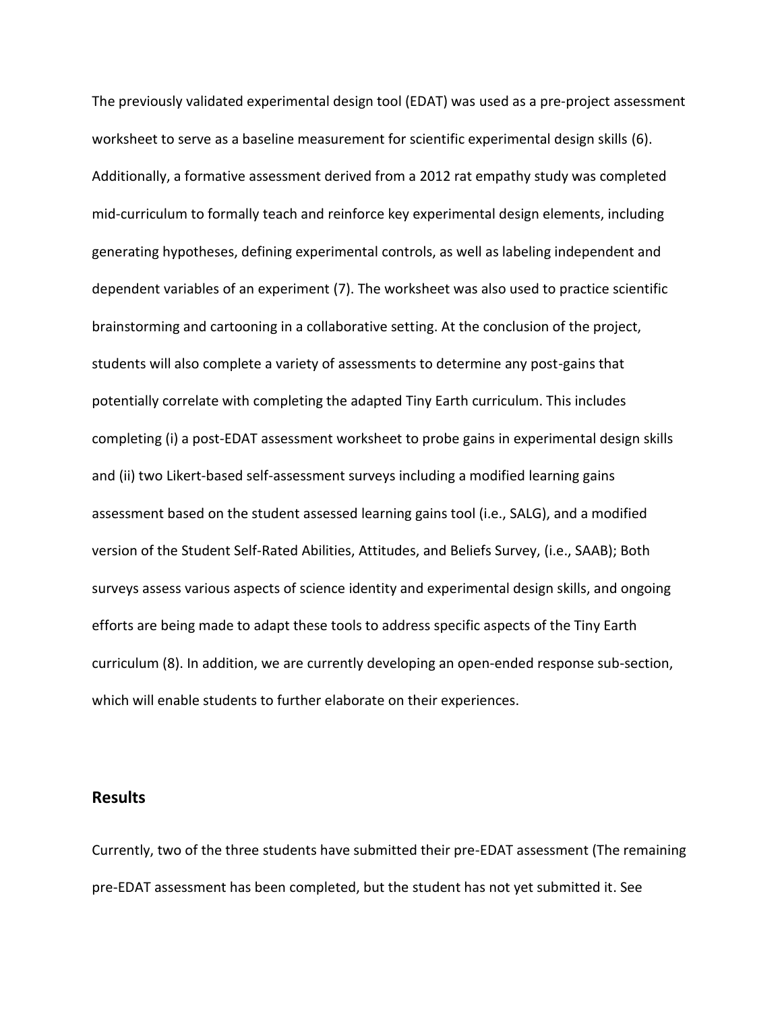The previously validated experimental design tool (EDAT) was used as a pre-project assessment worksheet to serve as a baseline measurement for scientific experimental design skills (6). Additionally, a formative assessment derived from a 2012 rat empathy study was completed mid-curriculum to formally teach and reinforce key experimental design elements, including generating hypotheses, defining experimental controls, as well as labeling independent and dependent variables of an experiment (7). The worksheet was also used to practice scientific brainstorming and cartooning in a collaborative setting. At the conclusion of the project, students will also complete a variety of assessments to determine any post-gains that potentially correlate with completing the adapted Tiny Earth curriculum. This includes completing (i) a post-EDAT assessment worksheet to probe gains in experimental design skills and (ii) two Likert-based self-assessment surveys including a modified learning gains assessment based on the student assessed learning gains tool (i.e., SALG), and a modified version of the Student Self-Rated Abilities, Attitudes, and Beliefs Survey, (i.e., SAAB); Both surveys assess various aspects of science identity and experimental design skills, and ongoing efforts are being made to adapt these tools to address specific aspects of the Tiny Earth curriculum (8). In addition, we are currently developing an open-ended response sub-section, which will enable students to further elaborate on their experiences.

#### **Results**

Currently, two of the three students have submitted their pre-EDAT assessment (The remaining pre-EDAT assessment has been completed, but the student has not yet submitted it. See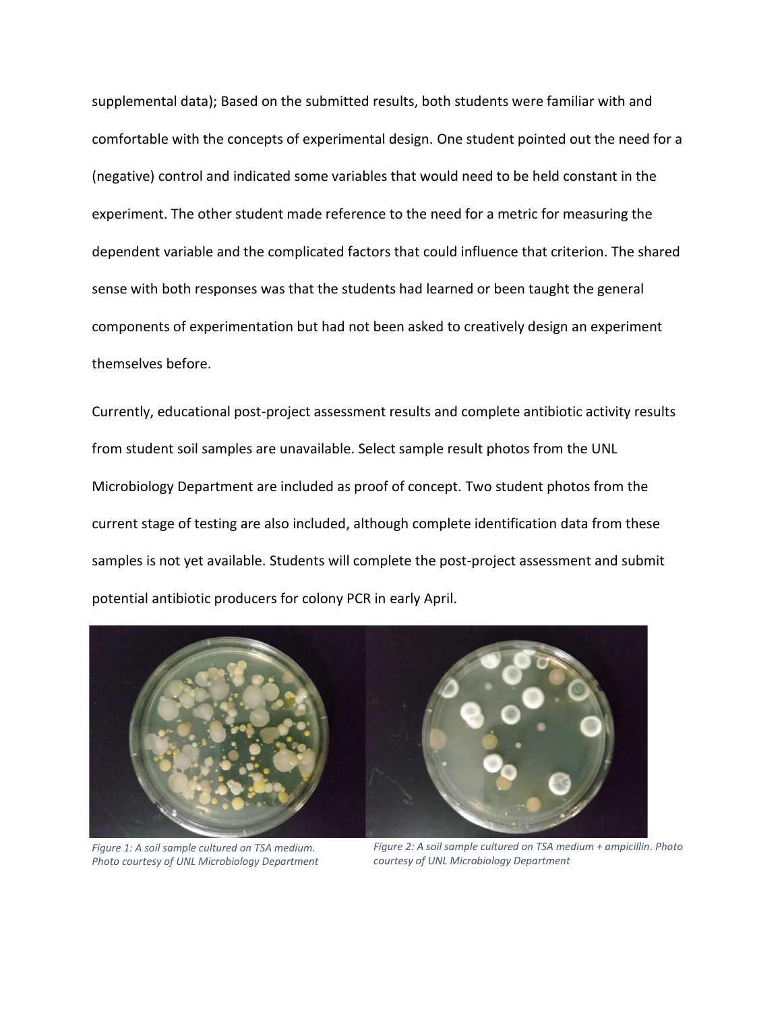supplemental data); Based on the submitted results, both students were familiar with and comfortable with the concepts of experimental design. One student pointed out the need for a (negative) control and indicated some variables that would need to be held constant in the experiment. The other student made reference to the need for a metric for measuring the dependent variable and the complicated factors that could influence that criterion. The shared sense with both responses was that the students had learned or been taught the general components of experimentation but had not been asked to creatively design an experiment themselves before.

Currently, educational post-project assessment results and complete antibiotic activity results from student soil samples are unavailable. Select sample result photos from the UNL Microbiology Department are included as proof of concept. Two student photos from the current stage of testing are also included, although complete identification data from these samples is not yet available. Students will complete the post-project assessment and submit potential antibiotic producers for colony PCR in early April.



*Figure 1: A soil sample cultured on TSA medium. Photo courtesy of UNL Microbiology Department*

*Figure 2: A soil sample cultured on TSA medium + ampicillin. Photo courtesy of UNL Microbiology Department*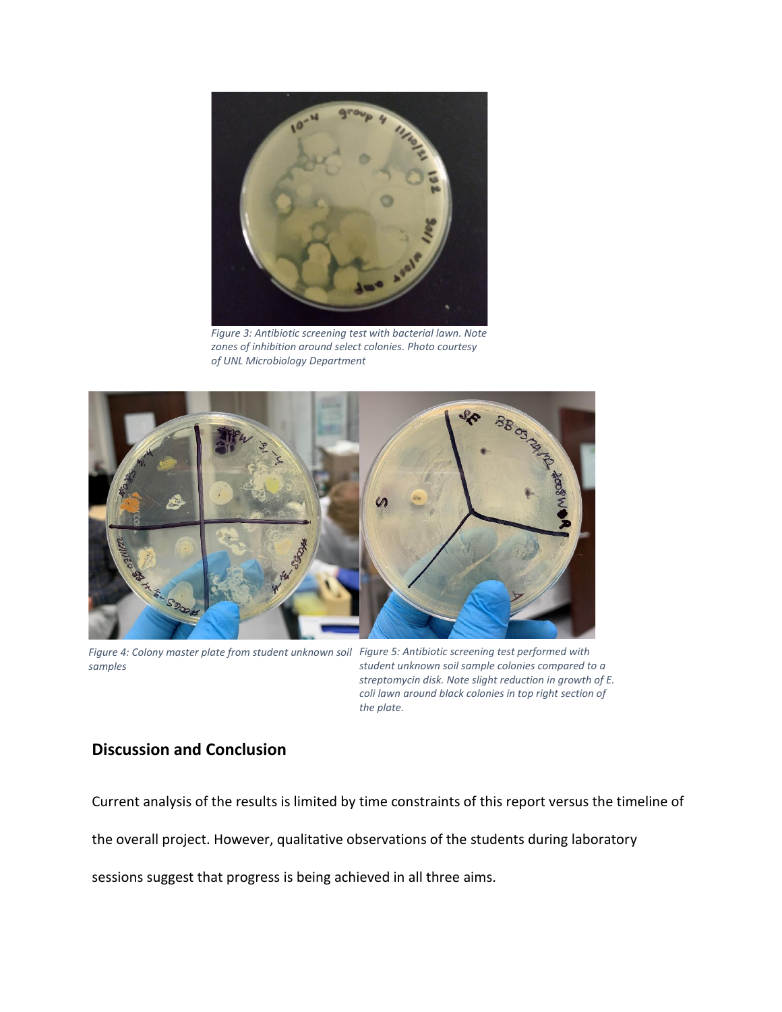

*Figure 3: Antibiotic screening test with bacterial lawn. Note zones of inhibition around select colonies. Photo courtesy of UNL Microbiology Department*



*Figure 4: Colony master plate from student unknown soil Figure 5: Antibiotic screening test performed with samples*

*student unknown soil sample colonies compared to a streptomycin disk. Note slight reduction in growth of E. coli lawn around black colonies in top right section of the plate.*

### **Discussion and Conclusion**

Current analysis of the results is limited by time constraints of this report versus the timeline of

the overall project. However, qualitative observations of the students during laboratory

sessions suggest that progress is being achieved in all three aims.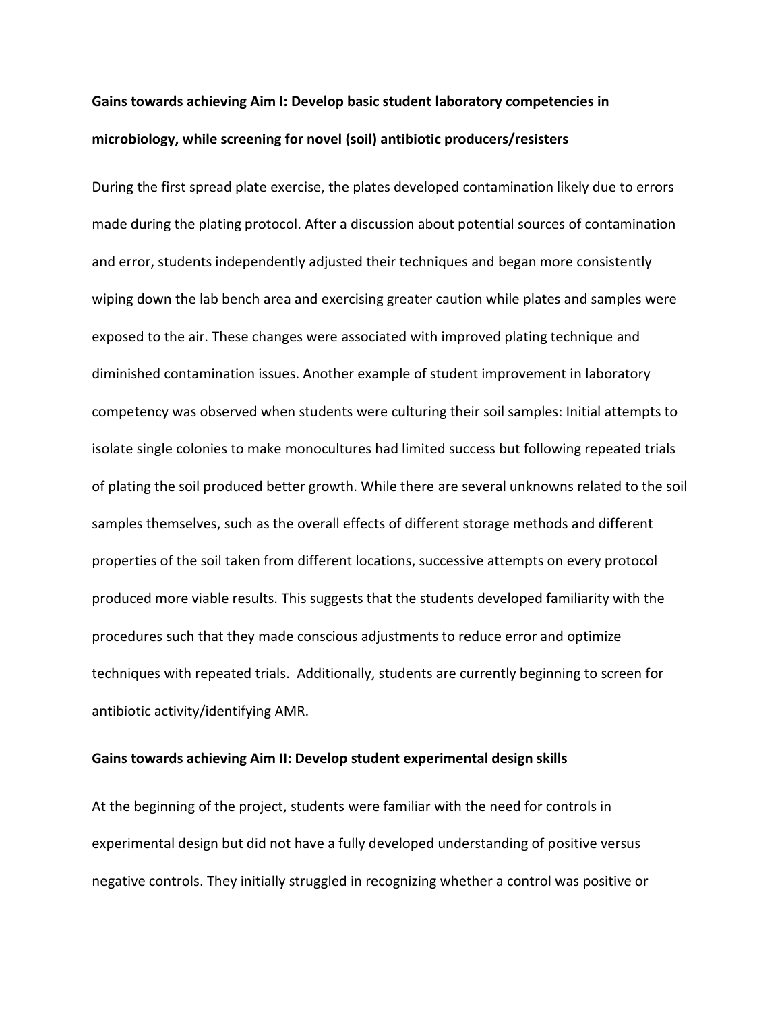## **Gains towards achieving Aim I: Develop basic student laboratory competencies in microbiology, while screening for novel (soil) antibiotic producers/resisters**

During the first spread plate exercise, the plates developed contamination likely due to errors made during the plating protocol. After a discussion about potential sources of contamination and error, students independently adjusted their techniques and began more consistently wiping down the lab bench area and exercising greater caution while plates and samples were exposed to the air. These changes were associated with improved plating technique and diminished contamination issues. Another example of student improvement in laboratory competency was observed when students were culturing their soil samples: Initial attempts to isolate single colonies to make monocultures had limited success but following repeated trials of plating the soil produced better growth. While there are several unknowns related to the soil samples themselves, such as the overall effects of different storage methods and different properties of the soil taken from different locations, successive attempts on every protocol produced more viable results. This suggests that the students developed familiarity with the procedures such that they made conscious adjustments to reduce error and optimize techniques with repeated trials. Additionally, students are currently beginning to screen for antibiotic activity/identifying AMR.

#### **Gains towards achieving Aim II: Develop student experimental design skills**

At the beginning of the project, students were familiar with the need for controls in experimental design but did not have a fully developed understanding of positive versus negative controls. They initially struggled in recognizing whether a control was positive or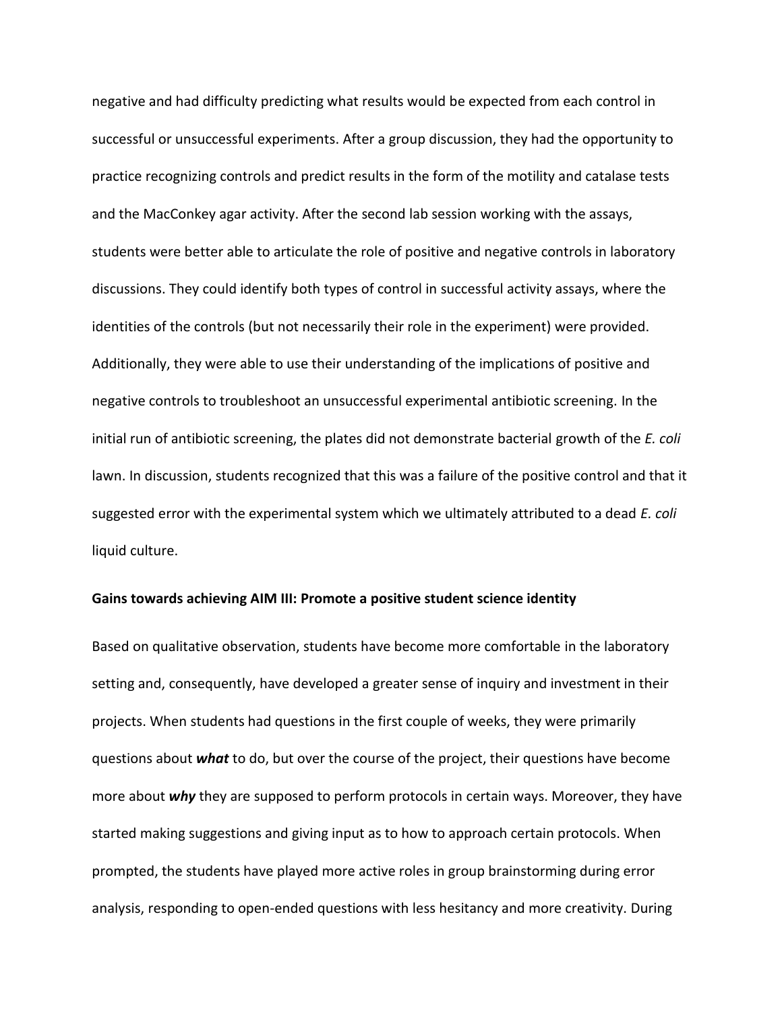negative and had difficulty predicting what results would be expected from each control in successful or unsuccessful experiments. After a group discussion, they had the opportunity to practice recognizing controls and predict results in the form of the motility and catalase tests and the MacConkey agar activity. After the second lab session working with the assays, students were better able to articulate the role of positive and negative controls in laboratory discussions. They could identify both types of control in successful activity assays, where the identities of the controls (but not necessarily their role in the experiment) were provided. Additionally, they were able to use their understanding of the implications of positive and negative controls to troubleshoot an unsuccessful experimental antibiotic screening. In the initial run of antibiotic screening, the plates did not demonstrate bacterial growth of the *E. coli*  lawn. In discussion, students recognized that this was a failure of the positive control and that it suggested error with the experimental system which we ultimately attributed to a dead *E. coli*  liquid culture.

#### **Gains towards achieving AIM III: Promote a positive student science identity**

Based on qualitative observation, students have become more comfortable in the laboratory setting and, consequently, have developed a greater sense of inquiry and investment in their projects. When students had questions in the first couple of weeks, they were primarily questions about *what* to do, but over the course of the project, their questions have become more about *why* they are supposed to perform protocols in certain ways. Moreover, they have started making suggestions and giving input as to how to approach certain protocols. When prompted, the students have played more active roles in group brainstorming during error analysis, responding to open-ended questions with less hesitancy and more creativity. During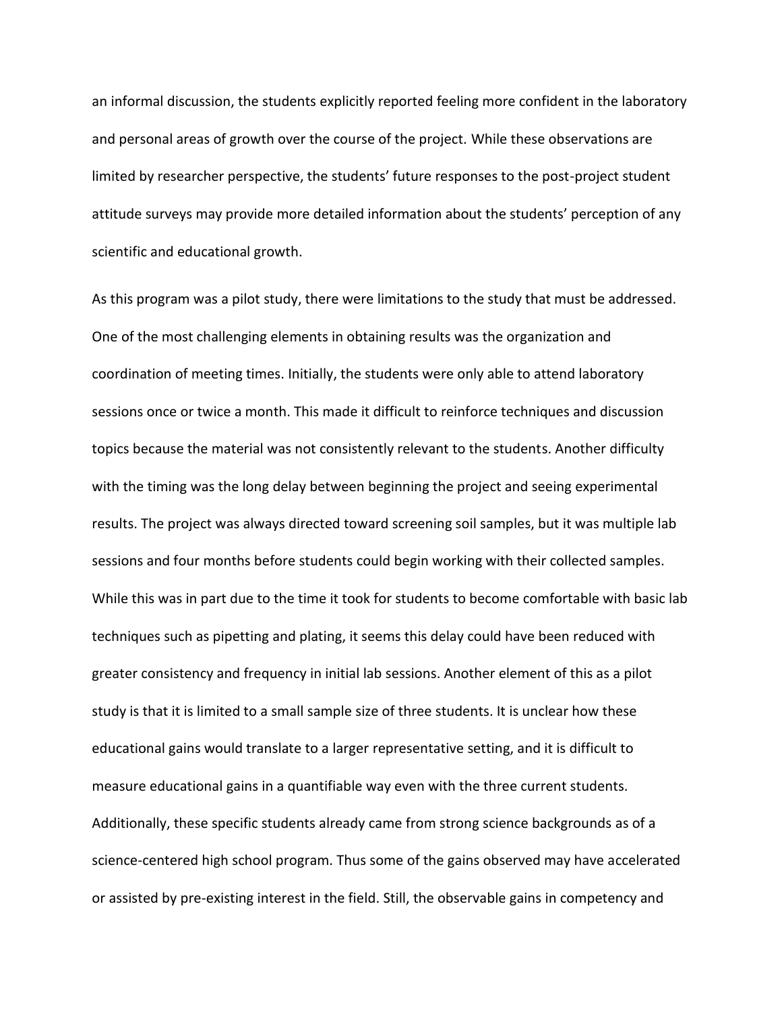an informal discussion, the students explicitly reported feeling more confident in the laboratory and personal areas of growth over the course of the project. While these observations are limited by researcher perspective, the students' future responses to the post-project student attitude surveys may provide more detailed information about the students' perception of any scientific and educational growth.

As this program was a pilot study, there were limitations to the study that must be addressed. One of the most challenging elements in obtaining results was the organization and coordination of meeting times. Initially, the students were only able to attend laboratory sessions once or twice a month. This made it difficult to reinforce techniques and discussion topics because the material was not consistently relevant to the students. Another difficulty with the timing was the long delay between beginning the project and seeing experimental results. The project was always directed toward screening soil samples, but it was multiple lab sessions and four months before students could begin working with their collected samples. While this was in part due to the time it took for students to become comfortable with basic lab techniques such as pipetting and plating, it seems this delay could have been reduced with greater consistency and frequency in initial lab sessions. Another element of this as a pilot study is that it is limited to a small sample size of three students. It is unclear how these educational gains would translate to a larger representative setting, and it is difficult to measure educational gains in a quantifiable way even with the three current students. Additionally, these specific students already came from strong science backgrounds as of a science-centered high school program. Thus some of the gains observed may have accelerated or assisted by pre-existing interest in the field. Still, the observable gains in competency and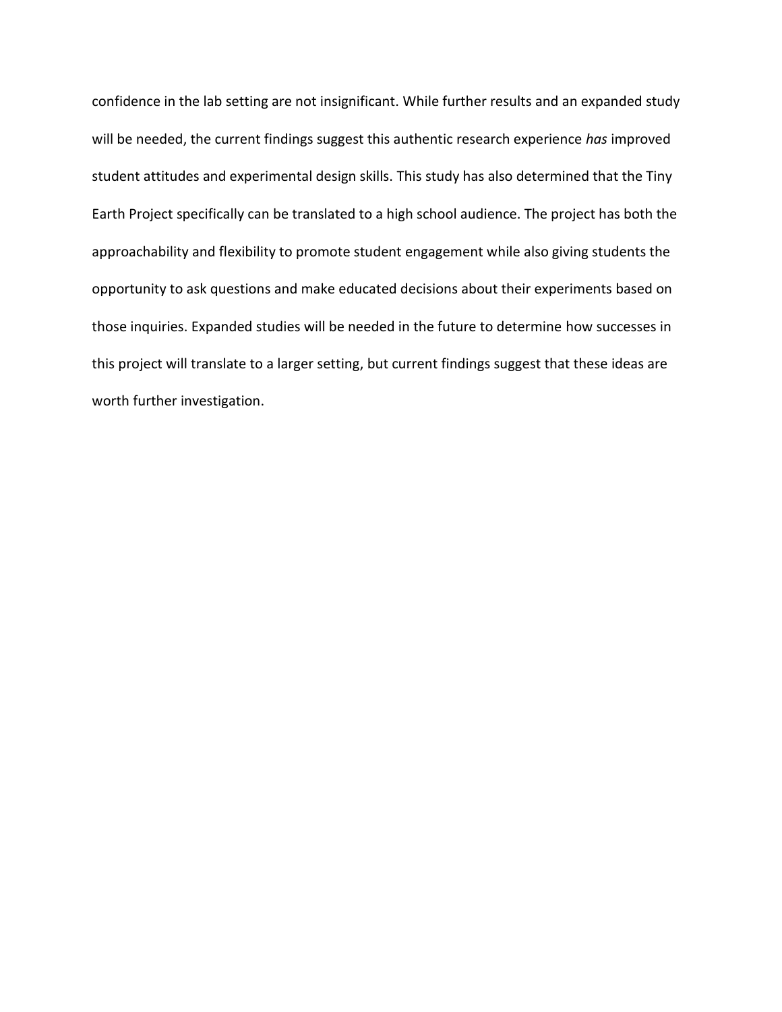confidence in the lab setting are not insignificant. While further results and an expanded study will be needed, the current findings suggest this authentic research experience *has* improved student attitudes and experimental design skills. This study has also determined that the Tiny Earth Project specifically can be translated to a high school audience. The project has both the approachability and flexibility to promote student engagement while also giving students the opportunity to ask questions and make educated decisions about their experiments based on those inquiries. Expanded studies will be needed in the future to determine how successes in this project will translate to a larger setting, but current findings suggest that these ideas are worth further investigation.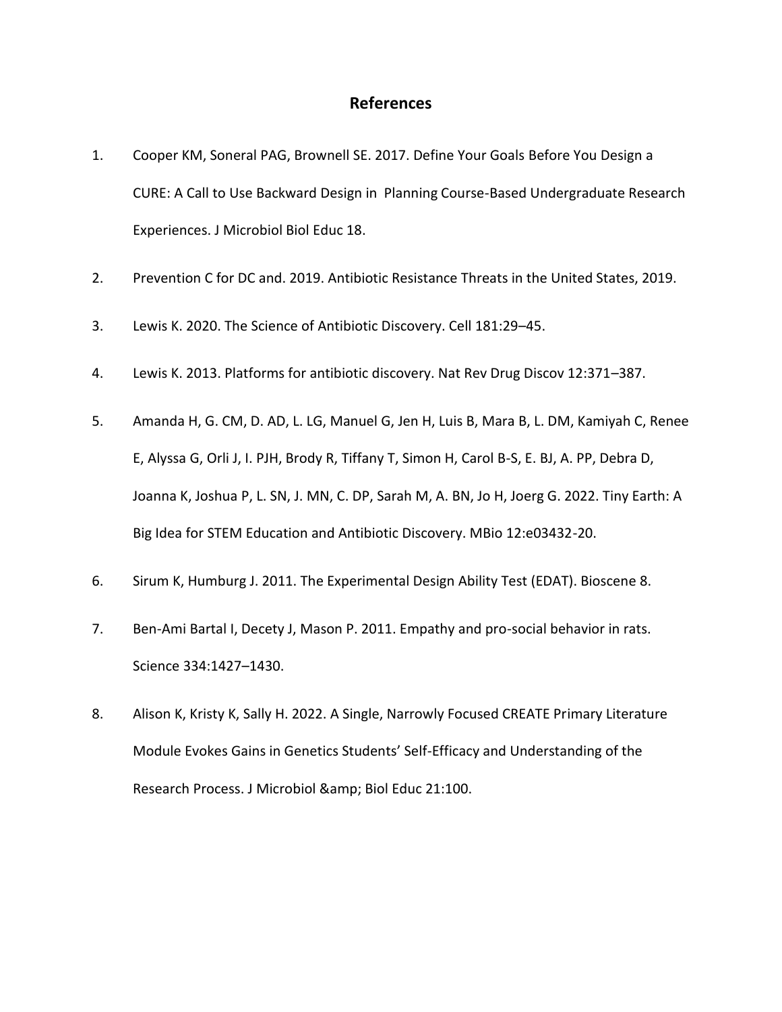### **References**

- 1. Cooper KM, Soneral PAG, Brownell SE. 2017. Define Your Goals Before You Design a CURE: A Call to Use Backward Design in Planning Course-Based Undergraduate Research Experiences. J Microbiol Biol Educ 18.
- 2. Prevention C for DC and. 2019. Antibiotic Resistance Threats in the United States, 2019.
- 3. Lewis K. 2020. The Science of Antibiotic Discovery. Cell 181:29–45.
- 4. Lewis K. 2013. Platforms for antibiotic discovery. Nat Rev Drug Discov 12:371–387.
- 5. Amanda H, G. CM, D. AD, L. LG, Manuel G, Jen H, Luis B, Mara B, L. DM, Kamiyah C, Renee E, Alyssa G, Orli J, I. PJH, Brody R, Tiffany T, Simon H, Carol B-S, E. BJ, A. PP, Debra D, Joanna K, Joshua P, L. SN, J. MN, C. DP, Sarah M, A. BN, Jo H, Joerg G. 2022. Tiny Earth: A Big Idea for STEM Education and Antibiotic Discovery. MBio 12:e03432-20.
- 6. Sirum K, Humburg J. 2011. The Experimental Design Ability Test (EDAT). Bioscene 8.
- 7. Ben-Ami Bartal I, Decety J, Mason P. 2011. Empathy and pro-social behavior in rats. Science 334:1427–1430.
- 8. Alison K, Kristy K, Sally H. 2022. A Single, Narrowly Focused CREATE Primary Literature Module Evokes Gains in Genetics Students' Self-Efficacy and Understanding of the Research Process. J Microbiol & amp; Biol Educ 21:100.